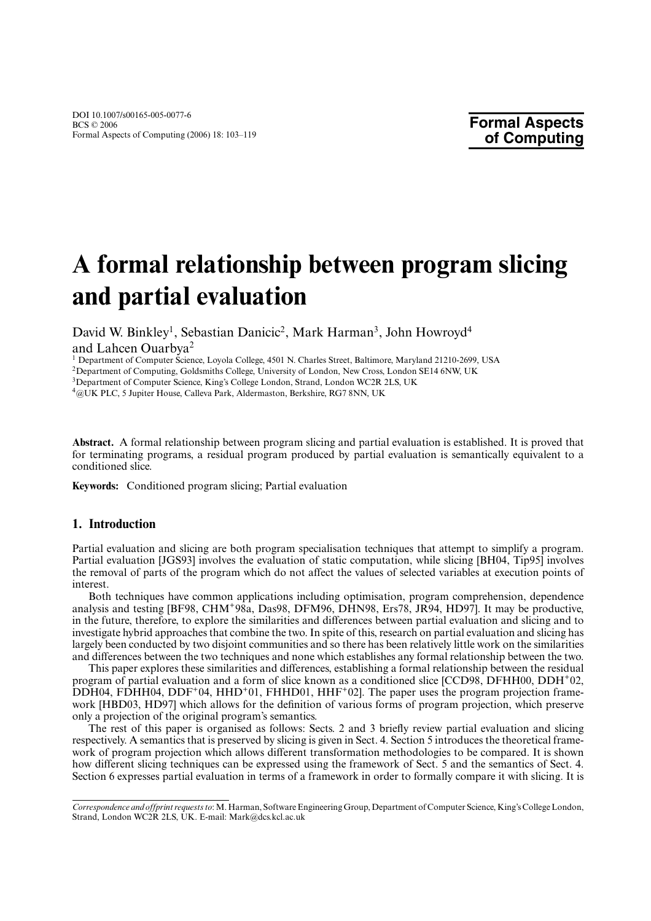# **A formal relationship between program slicing and partial evaluation**

David W. Binkley<sup>1</sup>, Sebastian Danicic<sup>2</sup>, Mark Harman<sup>3</sup>, John Howroyd<sup>4</sup> and Lahcen Ouarbya2

<sup>1</sup> Department of Computer Science, Loyola College, 4501 N. Charles Street, Baltimore, Maryland 21210-2699, USA

2Department of Computing, Goldsmiths College, University of London, New Cross, London SE14 6NW, UK

3Department of Computer Science, King's College London, Strand, London WC2R 2LS, UK

 $^{4}$ @UK PLC, 5 Jupiter House, Calleva Park, Aldermaston, Berkshire, RG7 8NN, UK

**Abstract.** A formal relationship between program slicing and partial evaluation is established. It is proved that for terminating programs, a residual program produced by partial evaluation is semantically equivalent to a conditioned slice.

**Keywords:** Conditioned program slicing; Partial evaluation

# **1. Introduction**

Partial evaluation and slicing are both program specialisation techniques that attempt to simplify a program. Partial evaluation [JGS93] involves the evaluation of static computation, while slicing [BH04, Tip95] involves the removal of parts of the program which do not affect the values of selected variables at execution points of interest.

Both techniques have common applications including optimisation, program comprehension, dependence analysis and testing [BF98, CHM+98a, Das98, DFM96, DHN98, Ers78, JR94, HD97]. It may be productive, in the future, therefore, to explore the similarities and differences between partial evaluation and slicing and to investigate hybrid approaches that combine the two. In spite of this, research on partial evaluation and slicing has largely been conducted by two disjoint communities and so there has been relatively little work on the similarities and differences between the two techniques and none which establishes any formal relationship between the two.

This paper explores these similarities and differences, establishing a formal relationship between the residual program of partial evaluation and a form of slice known as a conditioned slice [CCD98, DFHH00, DDH+02, DDH04, FDHH04, DDF<sup>+</sup>04, HHD<sup>+</sup>01, FHHD01, HHF<sup>+</sup>02. The paper uses the program projection framework [HBD03, HD97] which allows for the definition of various forms of program projection, which preserve only a projection of the original program's semantics.

The rest of this paper is organised as follows: Sects. 2 and 3 briefly review partial evaluation and slicing respectively. A semantics that is preserved by slicing is given in Sect. 4. Section 5 introduces the theoretical framework of program projection which allows different transformation methodologies to be compared. It is shown how different slicing techniques can be expressed using the framework of Sect. 5 and the semantics of Sect. 4. Section 6 expresses partial evaluation in terms of a framework in order to formally compare it with slicing. It is

*Correspondence and offprint requests to*:M. Harman, Software Engineering Group, Department of Computer Science, King's College London, Strand, London WC2R 2LS, UK. E-mail: Mark@dcs.kcl.ac.uk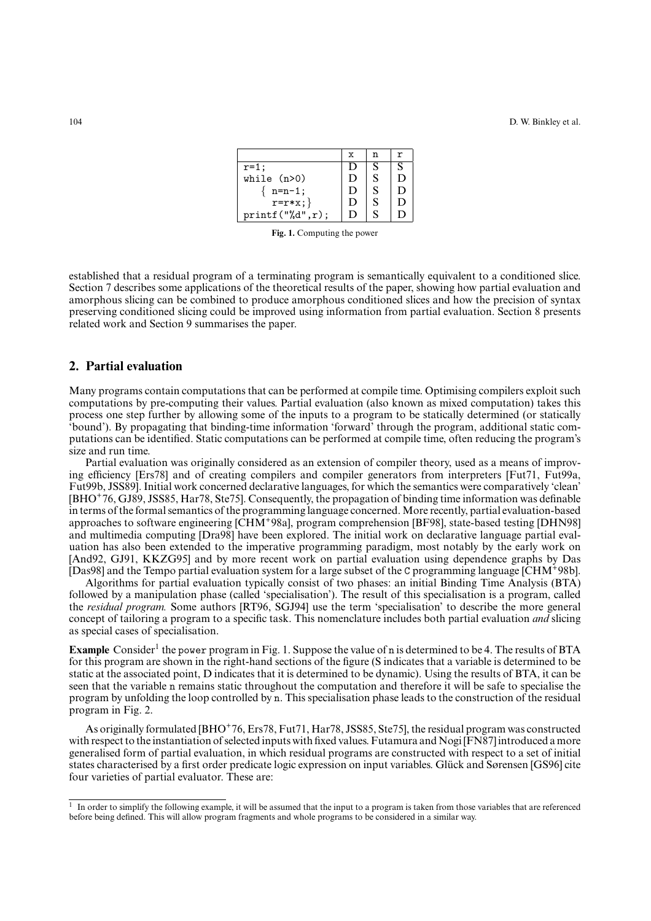| $r=1$ ;           |     |   |
|-------------------|-----|---|
| while $(n>0)$     | D   | Е |
| $n=n-1;$          | נ ו | г |
| $r=r*x;$          | D   | г |
| print(f("%d", r); | נ ו |   |

**Fig. 1.** Computing the power

established that a residual program of a terminating program is semantically equivalent to a conditioned slice. Section 7 describes some applications of the theoretical results of the paper, showing how partial evaluation and amorphous slicing can be combined to produce amorphous conditioned slices and how the precision of syntax preserving conditioned slicing could be improved using information from partial evaluation. Section 8 presents related work and Section 9 summarises the paper.

# **2. Partial evaluation**

Many programs contain computations that can be performed at compile time. Optimising compilers exploit such computations by pre-computing their values. Partial evaluation (also known as mixed computation) takes this process one step further by allowing some of the inputs to a program to be statically determined (or statically 'bound'). By propagating that binding-time information 'forward' through the program, additional static computations can be identified. Static computations can be performed at compile time, often reducing the program's size and run time.

Partial evaluation was originally considered as an extension of compiler theory, used as a means of improving efficiency [Ers78] and of creating compilers and compiler generators from interpreters [Fut71, Fut99a, Fut99b, JSS89]. Initial work concerned declarative languages, for which the semantics were comparatively 'clean' [BHO+76, GJ89, JSS85, Har78, Ste75]. Consequently, the propagation of binding time information was definable in terms of the formal semantics of the programming language concerned.More recently, partial evaluation-based approaches to software engineering [CHM+98a], program comprehension [BF98], state-based testing [DHN98] and multimedia computing [Dra98] have been explored. The initial work on declarative language partial evaluation has also been extended to the imperative programming paradigm, most notably by the early work on [And92, GJ91, KKZG95] and by more recent work on partial evaluation using dependence graphs by Das [Das98] and the Tempo partial evaluation system for a large subset of the C programming language [CHM+98b].

Algorithms for partial evaluation typically consist of two phases: an initial Binding Time Analysis (BTA) followed by a manipulation phase (called 'specialisation'). The result of this specialisation is a program, called the *residual program.* Some authors [RT96, SGJ94] use the term 'specialisation' to describe the more general concept of tailoring a program to a specific task. This nomenclature includes both partial evaluation *and* slicing as special cases of specialisation.

**Example** Consider<sup>1</sup> the power program in Fig. 1. Suppose the value of n is determined to be 4. The results of BTA for this program are shown in the right-hand sections of the figure (S indicates that a variable is determined to be static at the associated point, D indicates that it is determined to be dynamic). Using the results of BTA, it can be seen that the variable n remains static throughout the computation and therefore it will be safe to specialise the program by unfolding the loop controlled by n. This specialisation phase leads to the construction of the residual program in Fig. 2.

As originally formulated [BHO+76, Ers78, Fut71, Har78, JSS85, Ste75], the residual program was constructed with respect to the instantiation of selected inputs with fixed values. Futamura and Nogi [FN87] introduced a more generalised form of partial evaluation, in which residual programs are constructed with respect to a set of initial states characterised by a first order predicate logic expression on input variables. Glück and Sørensen [GS96] cite four varieties of partial evaluator. These are:

<sup>&</sup>lt;sup>1</sup> In order to simplify the following example, it will be assumed that the input to a program is taken from those variables that are referenced before being defined. This will allow program fragments and whole programs to be considered in a similar way.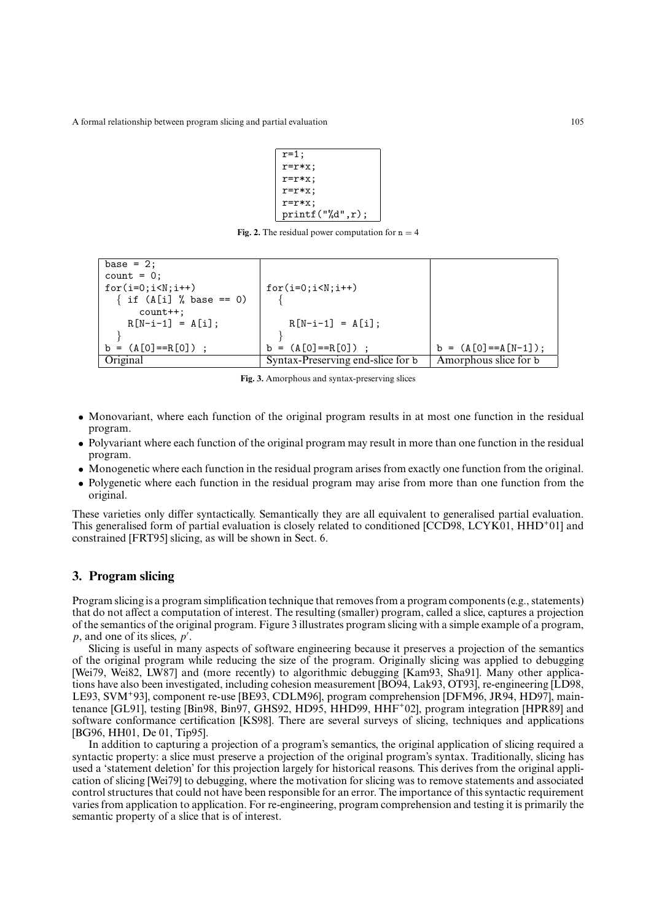| $r = 1$ ;        |
|------------------|
| r=r*x;           |
| r=r*x;           |
| r=r*x;           |
| r=r*x;           |
| print(f("M", r); |

**Fig. 2.** The residual power computation for  $n = 4$ 

| base = $2$ ;               |                                   |                          |
|----------------------------|-----------------------------------|--------------------------|
| $count = 0$ :              |                                   |                          |
| $for(i=0;i\le N;i++)$      | $for(i=0;i\le N;i++)$             |                          |
| $\{ if (A[i] % base == 0)$ |                                   |                          |
| $count++$ ;                |                                   |                          |
| $R[N-i-1] = A[i];$         | $R[N-i-1] = A[i];$                |                          |
|                            |                                   |                          |
| $b = (A[0] == R[0])$ ;     | $b = (A[0] == R[0])$ ;            | $b = (A[0] == A[N-1])$ ; |
| Original                   | Syntax-Preserving end-slice for b | Amorphous slice for b    |

**Fig. 3.** Amorphous and syntax-preserving slices

- Monovariant, where each function of the original program results in at most one function in the residual program.
- Polyvariant where each function of the original program may result in more than one function in the residual program.
- Monogenetic where each function in the residual program arises from exactly one function from the original.
- Polygenetic where each function in the residual program may arise from more than one function from the original.

These varieties only differ syntactically. Semantically they are all equivalent to generalised partial evaluation. This generalised form of partial evaluation is closely related to conditioned  $[CCD98, LCYK01, HHD<sup>+</sup>01]$  and constrained [FRT95] slicing, as will be shown in Sect. 6.

## **3. Program slicing**

Program slicing is a program simplification technique that removes from a program components (e.g., statements) that do not affect a computation of interest. The resulting (smaller) program, called a slice, captures a projection of the semantics of the original program. Figure 3 illustrates program slicing with a simple example of a program,  $p$ , and one of its slices,  $p'$ .

Slicing is useful in many aspects of software engineering because it preserves a projection of the semantics of the original program while reducing the size of the program. Originally slicing was applied to debugging [Wei79, Wei82, LW87] and (more recently) to algorithmic debugging [Kam93, Sha91]. Many other applications have also been investigated, including cohesion measurement [BO94, Lak93, OT93], re-engineering [LD98, LE93, SVM+93], component re-use [BE93, CDLM96], program comprehension [DFM96, JR94, HD97], maintenance [GL91], testing [Bin98, Bin97, GHS92, HD95, HHD99, HHF+02], program integration [HPR89] and software conformance certification [KS98]. There are several surveys of slicing, techniques and applications [BG96, HH01, De 01, Tip95].

In addition to capturing a projection of a program's semantics, the original application of slicing required a syntactic property: a slice must preserve a projection of the original program's syntax. Traditionally, slicing has used a 'statement deletion' for this projection largely for historical reasons. This derives from the original application of slicing [Wei79] to debugging, where the motivation for slicing was to remove statements and associated control structures that could not have been responsible for an error. The importance of this syntactic requirement varies from application to application. For re-engineering, program comprehension and testing it is primarily the semantic property of a slice that is of interest.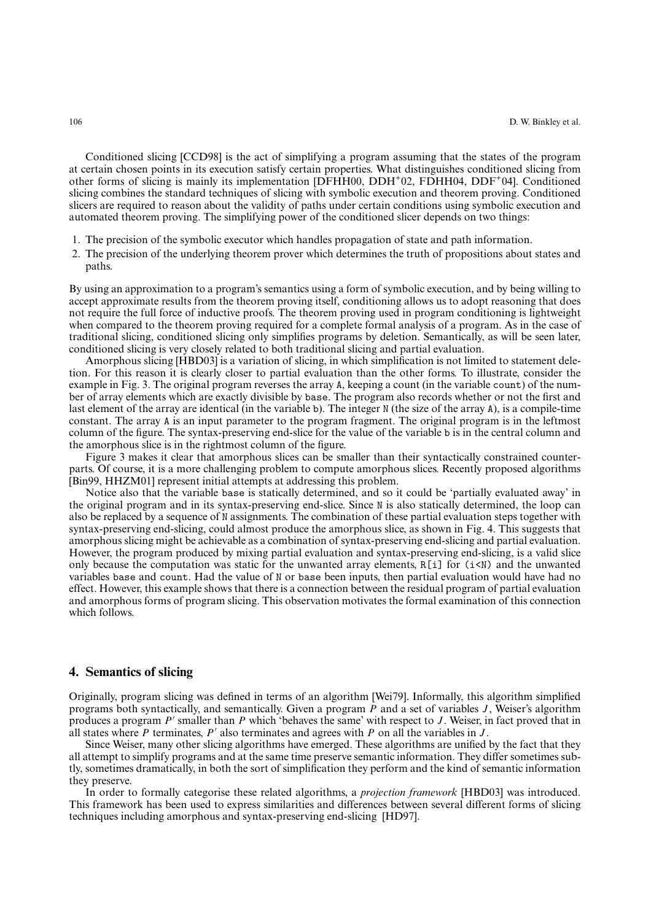Conditioned slicing [CCD98] is the act of simplifying a program assuming that the states of the program at certain chosen points in its execution satisfy certain properties. What distinguishes conditioned slicing from other forms of slicing is mainly its implementation [DFHH00, DDH+02, FDHH04, DDF+04]. Conditioned slicing combines the standard techniques of slicing with symbolic execution and theorem proving. Conditioned slicers are required to reason about the validity of paths under certain conditions using symbolic execution and automated theorem proving. The simplifying power of the conditioned slicer depends on two things:

- 1. The precision of the symbolic executor which handles propagation of state and path information.
- 2. The precision of the underlying theorem prover which determines the truth of propositions about states and paths.

By using an approximation to a program's semantics using a form of symbolic execution, and by being willing to accept approximate results from the theorem proving itself, conditioning allows us to adopt reasoning that does not require the full force of inductive proofs. The theorem proving used in program conditioning is lightweight when compared to the theorem proving required for a complete formal analysis of a program. As in the case of traditional slicing, conditioned slicing only simplifies programs by deletion. Semantically, as will be seen later, conditioned slicing is very closely related to both traditional slicing and partial evaluation.

Amorphous slicing [HBD03] is a variation of slicing, in which simplification is not limited to statement deletion. For this reason it is clearly closer to partial evaluation than the other forms. To illustrate, consider the example in Fig. 3. The original program reverses the array A, keeping a count (in the variable count) of the number of array elements which are exactly divisible by base. The program also records whether or not the first and last element of the array are identical (in the variable b). The integer N (the size of the array A), is a compile-time constant. The array A is an input parameter to the program fragment. The original program is in the leftmost column of the figure. The syntax-preserving end-slice for the value of the variable b is in the central column and the amorphous slice is in the rightmost column of the figure.

Figure 3 makes it clear that amorphous slices can be smaller than their syntactically constrained counterparts. Of course, it is a more challenging problem to compute amorphous slices. Recently proposed algorithms [Bin99, HHZM01] represent initial attempts at addressing this problem.

Notice also that the variable base is statically determined, and so it could be 'partially evaluated away' in the original program and in its syntax-preserving end-slice. Since N is also statically determined, the loop can also be replaced by a sequence of N assignments. The combination of these partial evaluation steps together with syntax-preserving end-slicing, could almost produce the amorphous slice, as shown in Fig. 4. This suggests that amorphous slicing might be achievable as a combination of syntax-preserving end-slicing and partial evaluation. However, the program produced by mixing partial evaluation and syntax-preserving end-slicing, is a valid slice only because the computation was static for the unwanted array elements,  $R[i]$  for  $(i\leq N)$  and the unwanted variables base and count. Had the value of N or base been inputs, then partial evaluation would have had no effect. However, this example shows that there is a connection between the residual program of partial evaluation and amorphous forms of program slicing. This observation motivates the formal examination of this connection which follows.

## **4. Semantics of slicing**

Originally, program slicing was defined in terms of an algorithm [Wei79]. Informally, this algorithm simplified programs both syntactically, and semantically. Given a program *P* and a set of variables *J* , Weiser's algorithm produces a program *P*<sup>-</sup> smaller than *P* which 'behaves the same' with respect to *J*. Weiser, in fact proved that in all states where  $\overline{P}$  terminates,  $P'$  also terminates and agrees with  $\overline{P}$  on all the variables in  $\overline{J}$ .

Since Weiser, many other slicing algorithms have emerged. These algorithms are unified by the fact that they all attempt to simplify programs and at the same time preserve semantic information. They differ sometimes subtly, sometimes dramatically, in both the sort of simplification they perform and the kind of semantic information they preserve.

In order to formally categorise these related algorithms, a *projection framework* [HBD03] was introduced. This framework has been used to express similarities and differences between several different forms of slicing techniques including amorphous and syntax-preserving end-slicing [HD97].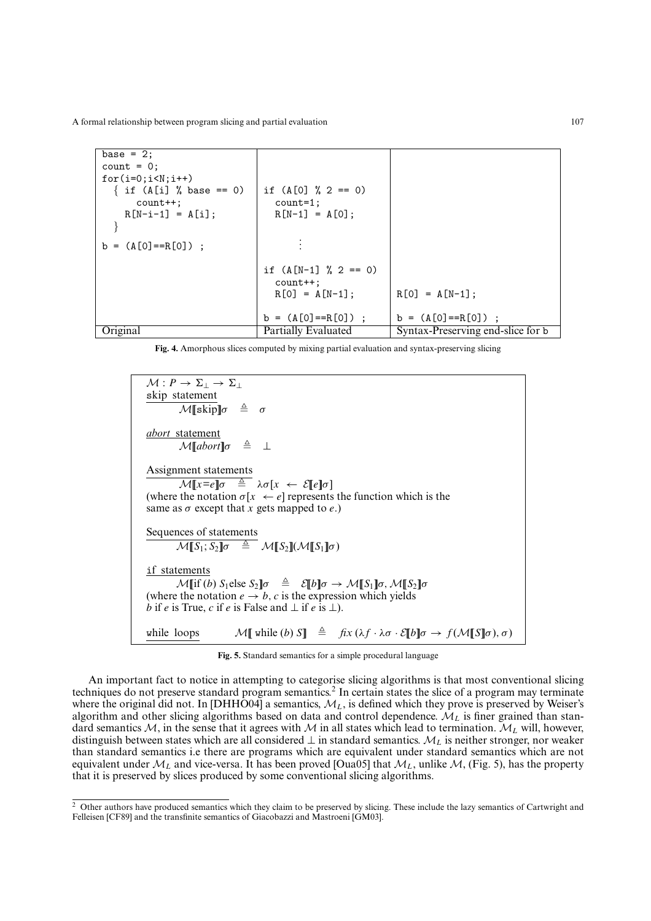A formal relationship between program slicing and partial evaluation 107

| base = $2$ ;                  |                        |                                   |
|-------------------------------|------------------------|-----------------------------------|
| $count = 0$ :                 |                        |                                   |
| $for(i=0;i\le N;i++)$         |                        |                                   |
| $\{ if (A[i] % base == 0) \}$ | if $(A[0]$ % 2 == 0)   |                                   |
| $count++$ ;                   | $count=1$ ;            |                                   |
| $R[N-i-1] = A[i];$            | $R[N-1] = A[0]$ ;      |                                   |
|                               |                        |                                   |
| $b = (A[0] == R[0])$ ;        |                        |                                   |
|                               |                        |                                   |
|                               | if $(A[N-1]$ % 2 == 0) |                                   |
|                               | $count++$ ;            |                                   |
|                               | $R[0] = A[N-1];$       | $R[0] = A[N-1];$                  |
|                               |                        |                                   |
|                               | $b = (A[0] == R[0])$ ; | $b = (A[0] == R[0])$ ;            |
| Original                      | Partially Evaluated    | Syntax-Preserving end-slice for b |

**Fig. 4.** Amorphous slices computed by mixing partial evaluation and syntax-preserving slicing

 $M: P \to \Sigma_{\perp} \to \Sigma_{\perp}$ skip statement  $\overline{\mathcal{M}}$ **Skip** $\sigma \triangleq \sigma$ *abort* statement  $\mathcal{M}$ **[***abort***]** $\sigma \triangleq \perp$ Assignment statements  $\overline{\mathcal{M}$ **[***x*=*e*]]*σ*  $\triangleq$   $\lambda \sigma$ [*x* ← *E*[[*e*]]*σ*] (where the notation  $\sigma[x \leftarrow e]$  represents the function which is the same as  $\sigma$  except that *x* gets mapped to *e*.) Sequences of statements  $\overline{\mathcal{M}}[S_1; S_2] \sigma \triangleq \mathcal{M}[S_2](\mathcal{M}[S_1] \sigma)$ if statements  $\mathcal{M}$ [[if (*b*) *S*<sub>1</sub>else *S*<sub>2</sub>] $\sigma \triangleq \mathcal{E}$ [[*b*] $\sigma \rightarrow \mathcal{M}$ [[*S*<sub>1</sub>] $\sigma$ *, M*[[*S*<sub>2</sub>] $\sigma$ (where the notation  $e \rightarrow b$ , c is the expression which yields *b* if *e* is True, *c* if *e* is False and  $\perp$  if *e* is  $\perp$ ). while loops  $\mathcal{M}[\![ \text{while } (b) \text{ } S]\!] \triangleq f(x) (\lambda f \cdot \lambda \sigma \cdot \mathcal{E}[\![ b]\!] \sigma \rightarrow f(\mathcal{M}[\![ S]\!] \sigma), \sigma)$ 

**Fig. 5.** Standard semantics for a simple procedural language

An important fact to notice in attempting to categorise slicing algorithms is that most conventional slicing techniques do not preserve standard program semantics.<sup>2</sup> In certain states the slice of a program may terminate where the original did not. In [DHHO04] a semantics,  $M_L$ , is defined which they prove is preserved by Weiser's algorithm and other slicing algorithms based on data and control dependence. M*<sup>L</sup>* is finer grained than standard semantics  $M$ , in the sense that it agrees with  $M$  in all states which lead to termination.  $M_L$  will, however, distinguish between states which are all considered  $\perp$  in standard semantics.  $M_L$  is neither stronger, nor weaker than standard semantics i.e there are programs which are equivalent under standard semantics which are not equivalent under  $M_L$  and vice-versa. It has been proved [Oua05] that  $M_L$ , unlike  $M$ , (Fig. 5), has the property that it is preserved by slices produced by some conventional slicing algorithms.

 $\overline{2}$  Other authors have produced semantics which they claim to be preserved by slicing. These include the lazy semantics of Cartwright and Felleisen [CF89] and the transfinite semantics of Giacobazzi and Mastroeni [GM03].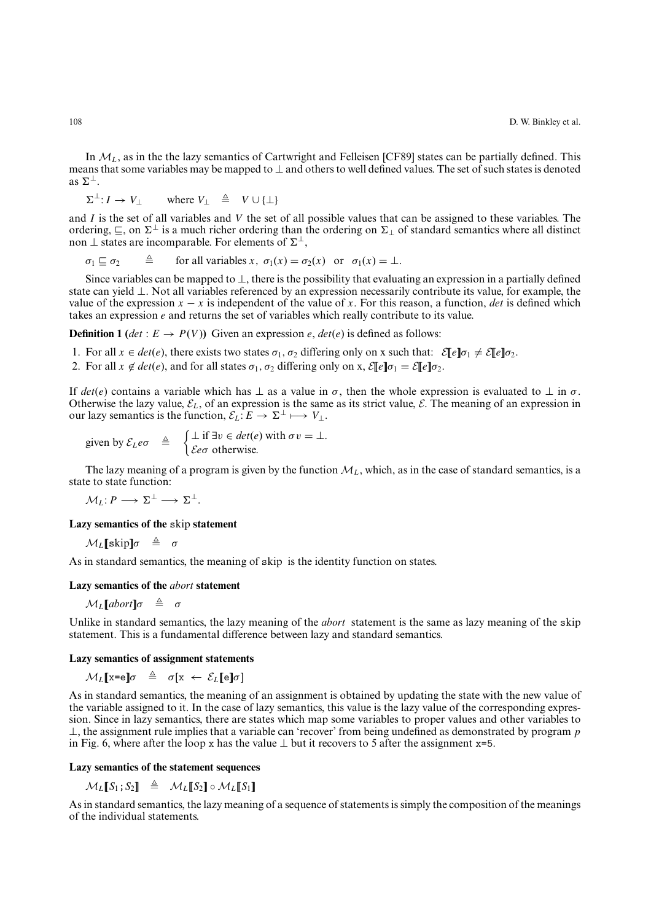In  $M_L$ , as in the the lazy semantics of Cartwright and Felleisen [CF89] states can be partially defined. This means that some variables may be mapped to ⊥ and others to well defined values. The set of such states is denoted as  $\Sigma^{\perp}$ .

$$
\Sigma^{\perp}: I \to V_{\perp} \qquad \text{where } V_{\perp} \triangleq V \cup \{\perp\}
$$

and *I* is the set of all variables and *V* the set of all possible values that can be assigned to these variables. The ordering,  $\sqsubseteq$ , on  $\Sigma^{\perp}$  is a much richer ordering than the ordering on  $\Sigma_{\perp}$  of standard semantics where all distinct non  $\perp$  states are incomparable. For elements of  $\Sigma^{\perp}$ ,

 $\sigma_1 \subseteq \sigma_2$   $\triangleq$  for all variables *x*,  $\sigma_1(x) = \sigma_2(x)$  or  $\sigma_1(x) = \bot$ .

Since variables can be mapped to  $\perp$ , there is the possibility that evaluating an expression in a partially defined state can yield ⊥. Not all variables referenced by an expression necessarily contribute its value, for example, the value of the expression  $x - x$  is independent of the value of x. For this reason, a function, *det* is defined which takes an expression *e* and returns the set of variables which really contribute to its value.

**Definition 1** (*det* :  $E \rightarrow P(V)$ ) Given an expression *e*, *det*(*e*) is defined as follows:

1. For all  $x \in det(e)$ , there exists two states  $\sigma_1$ ,  $\sigma_2$  differing only on x such that:  $\mathcal{E}[\![e]\!] \sigma_1 \neq \mathcal{E}[\![e]\!] \sigma_2$ .

2. For all  $x \notin det(e)$ , and for all states  $\sigma_1, \sigma_2$  differing only on x,  $\mathcal{E}[\![e]\!] \sigma_1 = \mathcal{E}[\![e]\!] \sigma_2$ .

If  $det(e)$  contains a variable which has  $\perp$  as a value in  $\sigma$ , then the whole expression is evaluated to  $\perp$  in  $\sigma$ . Otherwise the lazy value,  $\mathcal{E}_L$ , of an expression is the same as its strict value,  $\mathcal{E}$ . The meaning of an expression in our lazy semantics is the function,  $\mathcal{E}_L: E \to \Sigma^{\perp} \longmapsto V_{\perp}$ .

given by 
$$
\mathcal{E}_L e \sigma \triangleq \begin{cases} \bot & \text{if } \exists v \in det(e) \text{ with } \sigma v = \bot, \\ \mathcal{E} e \sigma & \text{otherwise.} \end{cases}
$$

The lazy meaning of a program is given by the function  $M<sub>L</sub>$ , which, as in the case of standard semantics, is a state to state function:

 $M_L: P \longrightarrow \Sigma^{\perp} \longrightarrow \Sigma^{\perp}.$ 

#### **Lazy semantics of the** skip **statement**

$$
\mathcal{M}_L[\![\!] \text{skip} ]\!]\sigma \quad \triangleq \quad \sigma
$$

As in standard semantics, the meaning of skip is the identity function on states.

#### **Lazy semantics of the** *abort* **statement**

 $M_L$ [*abort*]]*σ*  $\triangleq$  *σ* 

Unlike in standard semantics, the lazy meaning of the *abort* statement is the same as lazy meaning of the skip statement. This is a fundamental difference between lazy and standard semantics.

## **Lazy semantics of assignment statements**

 $M_L$ [[x=e]] $\sigma \triangleq \sigma[x \leftarrow \mathcal{E}_L$ [[e]] $\sigma$ ]

As in standard semantics, the meaning of an assignment is obtained by updating the state with the new value of the variable assigned to it. In the case of lazy semantics, this value is the lazy value of the corresponding expression. Since in lazy semantics, there are states which map some variables to proper values and other variables to ⊥, the assignment rule implies that a variable can 'recover' from being undefined as demonstrated by program *p* in Fig. 6, where after the loop x has the value  $\perp$  but it recovers to 5 after the assignment x=5.

#### **Lazy semantics of the statement sequences**

 $\mathcal{M}_L[\llbracket S_1; S_2 \rrbracket \cong \mathcal{M}_L[\llbracket S_2 \rrbracket \circ \mathcal{M}_L[\llbracket S_1 \rrbracket]$ 

As in standard semantics, the lazy meaning of a sequence of statements is simply the composition of the meanings of the individual statements.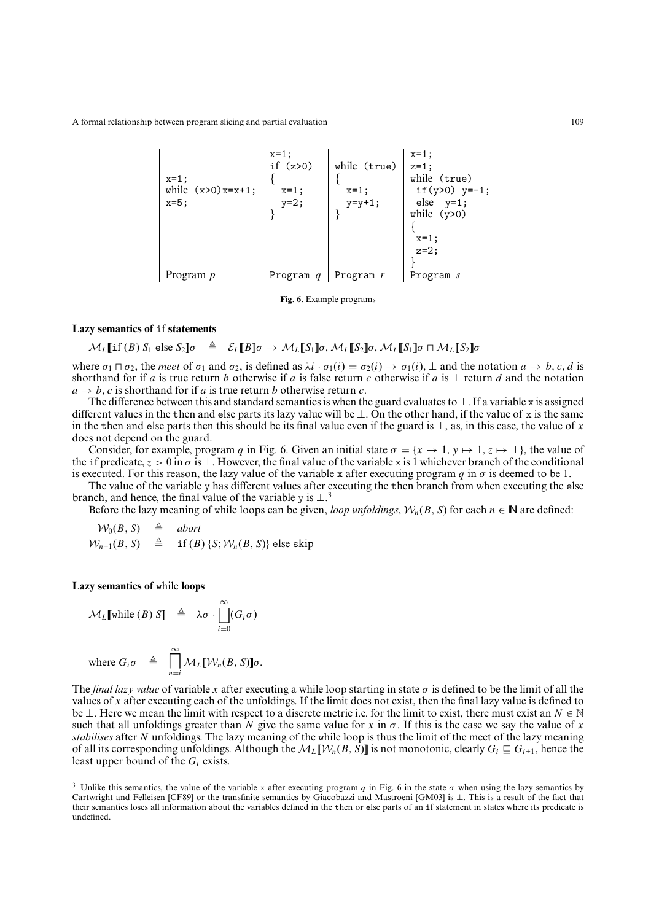| $x=1$ ;<br>while $(x>0) x=x+1$ ;<br>$x=5$ : | $x=1$ ;<br>if $(z>0)$<br>$x=1$ ;<br>$y=2;$ | while (true)<br>$x=1;$<br>$y = y + 1;$ | $x=1$ ;<br>$z=1$ ;<br>while (true)<br>if $(y>0)$ $y=-1$ ;<br>$else$ $y=1;$<br>while $(y>0)$<br>$x=1$ ;<br>$z=2$ ; |
|---------------------------------------------|--------------------------------------------|----------------------------------------|-------------------------------------------------------------------------------------------------------------------|
| Program $p$                                 | Program $q$                                | Program r                              | Program s                                                                                                         |

**Fig. 6.** Example programs

#### **Lazy semantics of** if **statements**

 $\mathcal{M}_L$ [[if (*B*)  $S_1$  else  $S_2$ ]*σ*  $\triangleq \mathcal{E}_L$ [[*B*] $\sigma \to \mathcal{M}_L$ [[ $S_1$ ] $\sigma$ ,  $\mathcal{M}_L$ [[ $S_2$ ]] $\sigma$ ,  $\mathcal{M}_L$ [[ $S_1$ ]] $\sigma \sqcap \mathcal{M}_L$ [[ $S_2$ ] $\sigma$ 

where  $\sigma_1 \sqcap \sigma_2$ , the *meet* of  $\sigma_1$  and  $\sigma_2$ , is defined as  $\lambda i \cdot \sigma_1(i) = \sigma_2(i) \rightarrow \sigma_1(i)$ ,  $\bot$  and the notation  $a \rightarrow b, c, d$  is shorthand for if *a* is true return *b* otherwise if *a* is false return *c* otherwise if *a* is  $\perp$  return *d* and the notation  $a \rightarrow b$ , *c* is shorthand for if *a* is true return *b* otherwise return *c*.

The difference between this and standard semantics is when the guard evaluates to  $\perp$ . If a variable x is assigned different values in the then and else parts its lazy value will be ⊥. On the other hand, if the value of x is the same in the then and else parts then this should be its final value even if the guard is  $\perp$ , as, in this case, the value of *x* does not depend on the guard.

Consider, for example, program *q* in Fig. 6. Given an initial state  $\sigma = \{x \mapsto 1, y \mapsto 1, z \mapsto \perp\}$ , the value of the if predicate,  $z > 0$  in  $\sigma$  is  $\perp$ . However, the final value of the variable x is 1 whichever branch of the conditional is executed. For this reason, the lazy value of the variable x after executing program *q* in  $\sigma$  is deemed to be 1.

The value of the variable y has different values after executing the then branch from when executing the else branch, and hence, the final value of the variable y is  $\perp$ .<sup>3</sup>

Before the lazy meaning of while loops can be given, *loop unfoldings*,  $W_n(B, S)$  for each  $n \in \mathbb{N}$  are defined:

$$
\mathcal{W}_0(B, S) \triangleq \text{abort}
$$
  

$$
\mathcal{W}_{n+1}(B, S) \triangleq \text{if } (B) \{S; \mathcal{W}_n(B, S) \} \text{ else skip}
$$

**Lazy semantics of** while **loops**

$$
\mathcal{M}_L[\![\text{while }(B)\ S]\!] \triangleq \lambda \sigma \cdot \bigcup_{i=0}^{\infty} (G_i \sigma)
$$

where 
$$
G_i \sigma \triangleq \prod_{n=i}^{\infty} M_L [\![W_n(B, S)]\!]\sigma
$$
.

The *final lazy value* of variable *x* after executing a while loop starting in state *σ* is defined to be the limit of all the values of *x* after executing each of the unfoldings. If the limit does not exist, then the final lazy value is defined to be ⊥. Here we mean the limit with respect to a discrete metric i.e. for the limit to exist, there must exist an *N* ∈ N such that all unfoldings greater than  $\tilde{N}$  give the same value for  $\tilde{x}$  in  $\sigma$ . If this is the case we say the value of  $\tilde{x}$ *stabilises* after *N* unfoldings. The lazy meaning of the while loop is thus the limit of the meet of the lazy meaning of all its corresponding unfoldings. Although the  $M_L[\mathcal{W}_n(B, S)]$  is not monotonic, clearly  $G_i \subseteq G_{i+1}$ , hence the least upper bound of the *Gi* exists.

<sup>&</sup>lt;sup>3</sup> Unlike this semantics, the value of the variable x after executing program *q* in Fig. 6 in the state  $\sigma$  when using the lazy semantics by Cartwright and Felleisen [CF89] or the transfinite semantics by Giacobazzi and Mastroeni [GM03] is ⊥. This is a result of the fact that their semantics loses all information about the variables defined in the then or else parts of an if statement in states where its predicate is undefined.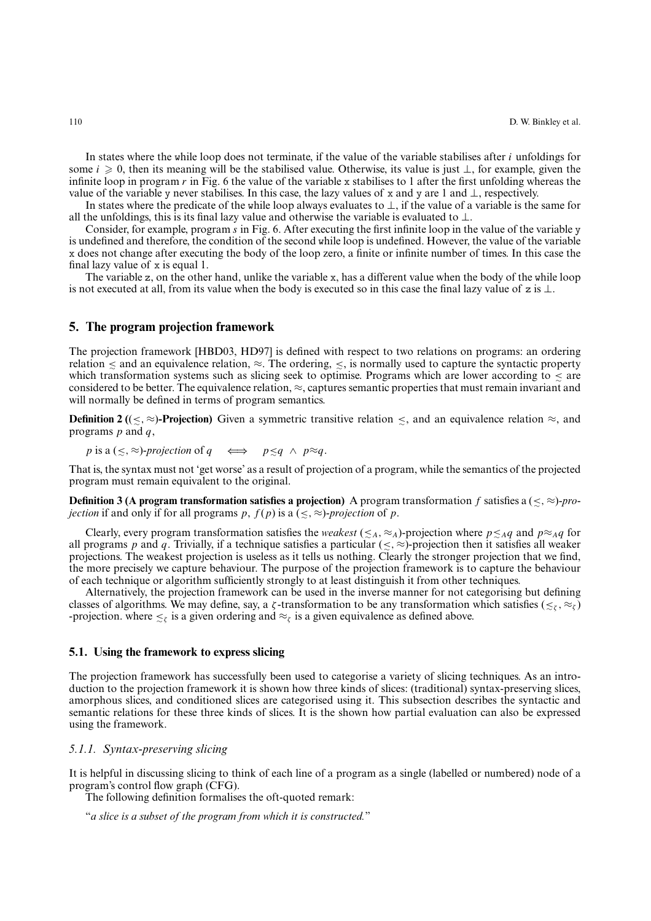In states where the while loop does not terminate, if the value of the variable stabilises after *i* unfoldings for some  $i \geq 0$ , then its meaning will be the stabilised value. Otherwise, its value is just  $\perp$ , for example, given the infinite loop in program  $r$  in Fig. 6 the value of the variable x stabilises to 1 after the first unfolding whereas the value of the variable y never stabilises. In this case, the lazy values of x and y are 1 and  $\perp$ , respectively.

In states where the predicate of the while loop always evaluates to ⊥, if the value of a variable is the same for all the unfoldings, this is its final lazy value and otherwise the variable is evaluated to  $\perp$ .

Consider, for example, program *s* in Fig. 6. After executing the first infinite loop in the value of the variable y is undefined and therefore, the condition of the second while loop is undefined. However, the value of the variable x does not change after executing the body of the loop zero, a finite or infinite number of times. In this case the final lazy value of x is equal 1.

The variable z, on the other hand, unlike the variable x, has a different value when the body of the while loop is not executed at all, from its value when the body is executed so in this case the final lazy value of z is  $\perp$ .

# **5. The program projection framework**

The projection framework [HBD03, HD97] is defined with respect to two relations on programs: an ordering relation *<sup>&</sup>lt;*<sup>∼</sup> and an equivalence relation, <sup>≈</sup>. The ordering, *<sup>&</sup>lt;*<sup>∼</sup> , is normally used to capture the syntactic property which transformation systems such as slicing seek to optimise. Programs which are lower according to *<sup>&</sup>lt;*<sup>∼</sup> are considered to be better. The equivalence relation,  $\approx$ , captures semantic properties that must remain invariant and will normally be defined in terms of program semantics.

**Definition 2 ((**  $\leq$ **,**  $\approx$ **)-Projection)** Given a symmetric transitive relation  $\leq$ , and an equivalence relation  $\approx$ , and programs *p* and *q*,

*p* is a  $(\leq, \infty)$ -projection of  $q \iff p \leq q \land p \approx q$ .

That is, the syntax must not 'get worse' as a result of projection of a program, while the semantics of the projected program must remain equivalent to the original.

**Definition 3 (A program transformation satisfies a projection)** A program transformation *f* satisfies a ( $\leq$ ,  $\approx$ )-*projection* if and only if for all programs *p*, *f*(*p*) is a ( $\leq$ ,  $\approx$ )-*projection* of *p*.

Clearly, every program transformation satisfies the *weakest* ( $\leq_A$ ,  $\approx_A$ )-projection where  $p \leq_A q$  and  $p \approx_A q$  for all programs *<sup>p</sup>* and *<sup>q</sup>*. Trivially, if a technique satisfies a particular (*<*<sup>∼</sup> *,* <sup>≈</sup>)-projection then it satisfies all weaker projections. The weakest projection is useless as it tells us nothing. Clearly the stronger projection that we find, the more precisely we capture behaviour. The purpose of the projection framework is to capture the behaviour of each technique or algorithm sufficiently strongly to at least distinguish it from other techniques.

Alternatively, the projection framework can be used in the inverse manner for not categorising but defining classes of algorithms. We may define, say, a *ζ*-transformation to be any transformation which satisfies ( $\leq_\zeta$ ,  $\approx_\zeta$ ) -projection. where *<sup>&</sup>lt;*<sup>∼</sup> *<sup>ζ</sup>* is a given ordering and <sup>≈</sup>*<sup>ζ</sup>* is a given equivalence as defined above.

## **5.1. Using the framework to express slicing**

The projection framework has successfully been used to categorise a variety of slicing techniques. As an introduction to the projection framework it is shown how three kinds of slices: (traditional) syntax-preserving slices, amorphous slices, and conditioned slices are categorised using it. This subsection describes the syntactic and semantic relations for these three kinds of slices. It is the shown how partial evaluation can also be expressed using the framework.

#### *5.1.1. Syntax-preserving slicing*

It is helpful in discussing slicing to think of each line of a program as a single (labelled or numbered) node of a program's control flow graph (CFG).

The following definition formalises the oft-quoted remark:

"*a slice is a subset of the program from which it is constructed.*"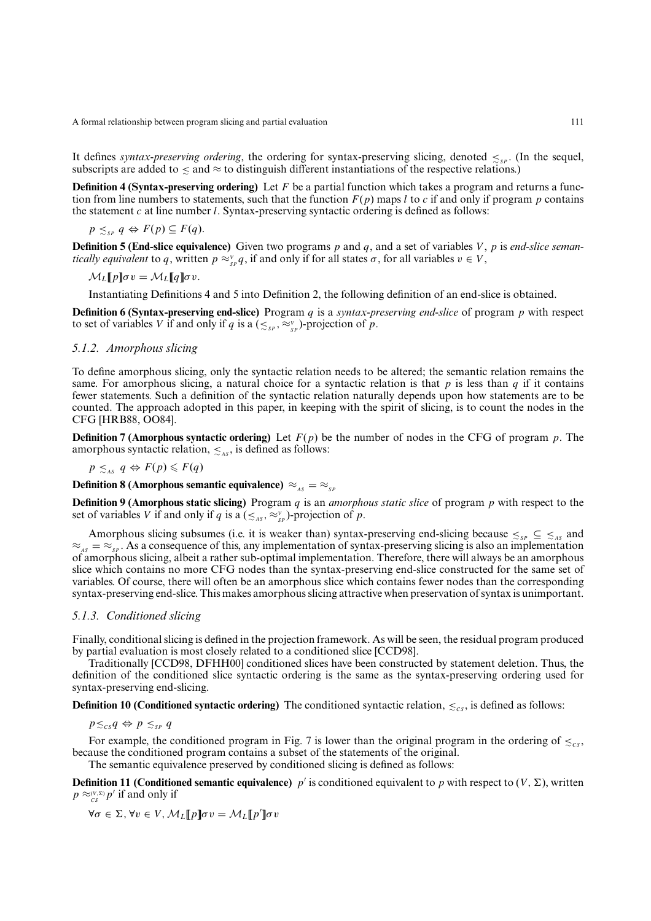It defines *syntax-preserving ordering*, the ordering for syntax-preserving slicing, denoted  $\leq_{S_P}$ . (In the sequel, subscripts are added to *<sup>&</sup>lt;*<sup>∼</sup> and <sup>≈</sup> to distinguish different instantiations of the respective relations.)

**Definition 4 (Syntax-preserving ordering)** Let *F* be a partial function which takes a program and returns a function from line numbers to statements, such that the function  $F(p)$  maps *l* to *c* if and only if program *p* contains the statement *c* at line number *l*. Syntax-preserving syntactic ordering is defined as follows:

$$
p \leq_{\scriptscriptstyle SP} q \Leftrightarrow F(p) \subseteq F(q).
$$

**Definition 5 (End-slice equivalence)** Given two programs *p* and *q*, and a set of variables *V* , *p* is *end-slice semantically equivalent* to *q*, written  $p \approx_{\text{SP}}^V q$ , if and only if for all states  $\sigma$ , for all variables  $v \in V$ ,

$$
\mathcal{M}_L[\![p]\!] \sigma v = \mathcal{M}_L[\![q]\!] \sigma v.
$$

Instantiating Definitions 4 and 5 into Definition 2, the following definition of an end-slice is obtained.

**Definition 6 (Syntax-preserving end-slice)** Program *q* is a *syntax-preserving end-slice* of program *p* with respect to set of variables *V* if and only if *q* is a ( $\leq_{\text{SP}}$ ,  $\approx_{\text{SP}}^V$ )-projection of *p*.

## *5.1.2. Amorphous slicing*

To define amorphous slicing, only the syntactic relation needs to be altered; the semantic relation remains the same. For amorphous slicing, a natural choice for a syntactic relation is that  $p$  is less than  $q$  if it contains fewer statements. Such a definition of the syntactic relation naturally depends upon how statements are to be counted. The approach adopted in this paper, in keeping with the spirit of slicing, is to count the nodes in the CFG [HRB88, OO84].

**Definition 7 (Amorphous syntactic ordering)** Let *F*(*p*) be the number of nodes in the CFG of program *p*. The amorphous syntactic relation, *<sup>&</sup>lt;*<sup>∼</sup> *AS* , is defined as follows:

*p* ≤  $_A$  *q*  $\Leftrightarrow$  *F*(*p*) ≤ *F*(*q*)

**Definition 8 (Amorphous semantic equivalence)**  $\approx_{AS} = \approx_{SP}$ 

**Definition 9 (Amorphous static slicing)** Program *q* is an *amorphous static slice* of program *p* with respect to the set of variables *V* if and only if *q* is a  $(\leq_{As}, \approx_{SP}^v)$ -projection of *p*.

Amorphous slicing subsumes (i.e. it is weaker than) syntax-preserving end-slicing because  $\leq_{SP} \subseteq \leq_{AS}$  and  $\approx_{\text{as}} = \approx_{\text{sp}}$ . As a consequence of this, any implementation of syntax-preserving slicing is also an implementation of amorphous slicing, albeit a rather sub-optimal implementation. Therefore, there will always be an amorphous slice which contains no more CFG nodes than the syntax-preserving end-slice constructed for the same set of variables. Of course, there will often be an amorphous slice which contains fewer nodes than the corresponding syntax-preserving end-slice. This makes amorphous slicing attractive when preservation of syntax is unimportant.

#### *5.1.3. Conditioned slicing*

Finally, conditional slicing is defined in the projection framework. As will be seen, the residual program produced by partial evaluation is most closely related to a conditioned slice [CCD98].

Traditionally [CCD98, DFHH00] conditioned slices have been constructed by statement deletion. Thus, the definition of the conditioned slice syntactic ordering is the same as the syntax-preserving ordering used for syntax-preserving end-slicing.

**Definition 10 (Conditioned syntactic ordering) The conditioned syntactic relation,**  $\leq$ **<sub>***CS</sub>***, is defined as follows:**</sub>

*p* ≤  $c_s q$  ⇔ *p* ≤  $s_p$  *q* 

For example, the conditioned program in Fig. 7 is lower than the original program in the ordering of  $\leq$ <sub>*CS</sub>*,</sub> because the conditioned program contains a subset of the statements of the original.

The semantic equivalence preserved by conditioned slicing is defined as follows:

**Definition 11 (Conditioned semantic equivalence)** *p*<sup> $\prime$ </sup> is conditioned equivalent to *p* with respect to (*V*,  $\Sigma$ ), written  $p \approx_{cs}^{(V,\Sigma)} p'$  if and only if

 $\forall \sigma \in \Sigma, \forall v \in V, \mathcal{M}_L[\![p]\!] \sigma v = \mathcal{M}_L[\![p']\!] \sigma v$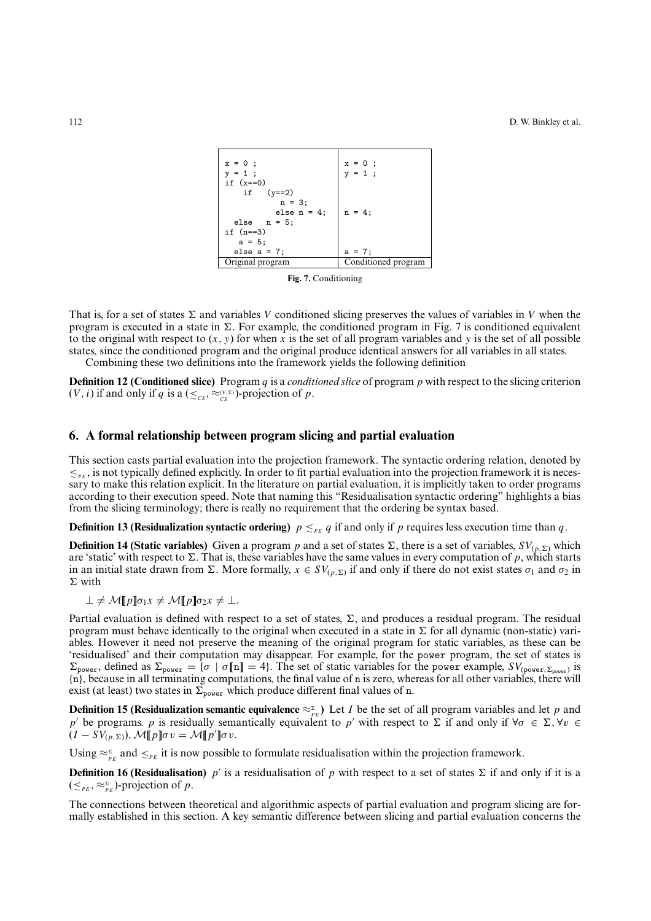

**Fig. 7.** Conditioning

That is, for a set of states  $\Sigma$  and variables *V* conditioned slicing preserves the values of variables in *V* when the program is executed in a state in  $\Sigma$ . For example, the conditioned program in Fig. 7 is conditioned equivalent to the original with respect to  $(x, y)$  for when x is the set of all program variables and y is the set of all possible states, since the conditioned program and the original produce identical answers for all variables in all states.

Combining these two definitions into the framework yields the following definition

**Definition 12 (Conditioned slice)** Program *q* is a *conditioned slice* of program *p* with respect to the slicing criterion (*V*, *i*) if and only if *q* is a ( $\leq_{cs}$ , ≈ $\underset{cs}{\approx_{cs}}$ )-projection of *p*.

## **6. A formal relationship between program slicing and partial evaluation**

This section casts partial evaluation into the projection framework. The syntactic ordering relation, denoted by  $\leq_{PE}$ , is not typically defined explicitly. In order to fit partial evaluation into the projection framework it is necessary to make this relation explicit. In the literature on partial evaluation, it is implicitly taken to order programs according to their execution speed. Note that naming this "Residualisation syntactic ordering" highlights a bias from the slicing terminology; there is really no requirement that the ordering be syntax based.

**Definition 13 (Residualization syntactic ordering)**  $p \leq_{PE} q$  if and only if *p* requires less execution time than *q*.

**Definition 14 (Static variables)** Given a program p and a set of states  $\Sigma$ , there is a set of variables,  $SV(p,\Sigma)$  which are 'static' with respect to  $\Sigma$ . That is, these variables have the same values in every computation of p, which starts in an initial state drawn from  $\Sigma$ . More formally,  $x \in SV_{(p,\Sigma)}$  if and only if there do not exist states  $\sigma_1$  and  $\sigma_2$  in  $\Sigma$  with

$$
\perp \neq \mathcal{M}\llbracket p \rrbracket \sigma_1 x \neq \mathcal{M}\llbracket p \rrbracket \sigma_2 x \neq \perp.
$$

Partial evaluation is defined with respect to a set of states,  $\Sigma$ , and produces a residual program. The residual program must behave identically to the original when executed in a state in  $\Sigma$  for all dynamic (non-static) variables. However it need not preserve the meaning of the original program for static variables, as these can be 'residualised' and their computation may disappear. For example, for the power program, the set of states is  $\Sigma_{\text{power}}$ , defined as  $\Sigma_{\text{power}} = {\sigma \mid \sigma \llbracket n \rrbracket} = 4$ . The set of static variables for the power example,  $SV_{(\text{power}, \Sigma_{\text{power}})}$  is {n}, because in all terminating computations, the final value of n is zero, whereas for all other variables, there will exist (at least) two states in  $\Sigma_{\text{power}}$  which produce different final values of n.

**Definition 15 (Residualization semantic equivalence**  $\approx_{p}^{z}$ ) Let *I* be the set of all program variables and let *p* and *p*' be programs. *p* is residually semantically equivalent to *p*' with respect to Σ if and only if  $\forall \sigma \in \Sigma$ ,  $\forall v \in$  $(I - \overline{SV}_{(p,\Sigma)}), \mathcal{M}$ [ $p$ ]] $\sigma v = \mathcal{M}$ [ $p'$ ]] $\sigma v$ .

Using  $\approx_{PE}^{\Sigma}$  and  $\leq_{PE}$  it is now possible to formulate residualisation within the projection framework.

**Definition 16 (Residualisation)**  $p'$  is a residualisation of p with respect to a set of states  $\Sigma$  if and only if it is a  $(\leq_{PE}, \approx_{PE}^{\Sigma})$ -projection of *p*.

The connections between theoretical and algorithmic aspects of partial evaluation and program slicing are formally established in this section. A key semantic difference between slicing and partial evaluation concerns the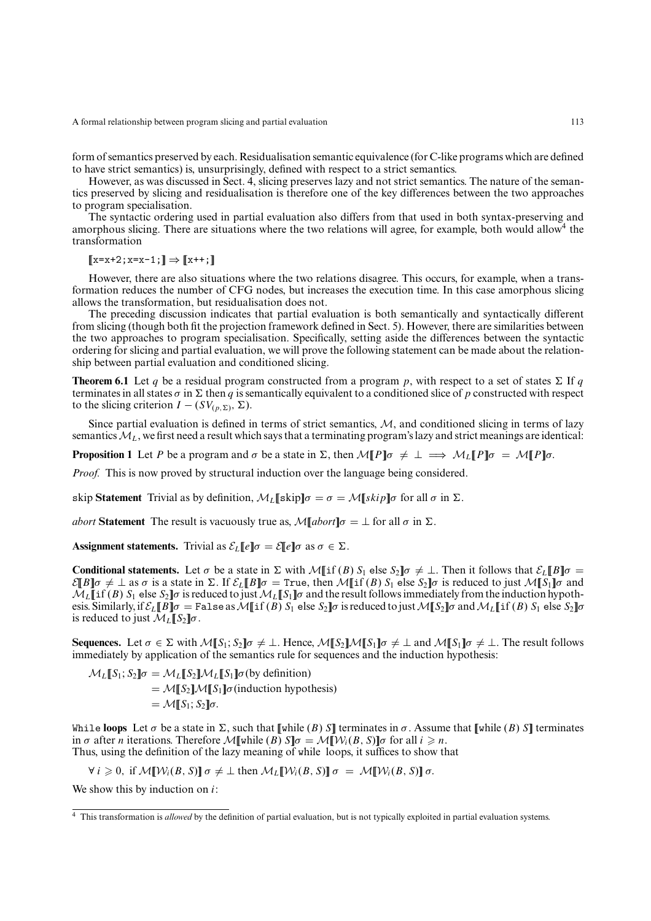form of semantics preserved by each. Residualisation semantic equivalence (for C-like programs which are defined to have strict semantics) is, unsurprisingly, defined with respect to a strict semantics.

However, as was discussed in Sect. 4, slicing preserves lazy and not strict semantics. The nature of the semantics preserved by slicing and residualisation is therefore one of the key differences between the two approaches to program specialisation.

The syntactic ordering used in partial evaluation also differs from that used in both syntax-preserving and amorphous slicing. There are situations where the two relations will agree, for example, both would allow<sup>4</sup> the transformation

 $[[x=x+2;x=x-1:] \Rightarrow [[x++:]]$ 

However, there are also situations where the two relations disagree. This occurs, for example, when a transformation reduces the number of CFG nodes, but increases the execution time. In this case amorphous slicing allows the transformation, but residualisation does not.

The preceding discussion indicates that partial evaluation is both semantically and syntactically different from slicing (though both fit the projection framework defined in Sect. 5). However, there are similarities between the two approaches to program specialisation. Specifically, setting aside the differences between the syntactic ordering for slicing and partial evaluation, we will prove the following statement can be made about the relationship between partial evaluation and conditioned slicing.

**Theorem 6.1** Let *q* be a residual program constructed from a program *p*, with respect to a set of states  $\Sigma$  If *q* terminates in all states  $\sigma$  in  $\Sigma$  then *q* is semantically equivalent to a conditioned slice of *p* constructed with respect to the slicing criterion  $I - (SV_{(p,\Sigma)}, \Sigma)$ .

Since partial evaluation is defined in terms of strict semantics,  $M$ , and conditioned slicing in terms of lazy semantics  $M_L$ , we first need a result which says that a terminating program's lazy and strict meanings are identical:

**Proposition 1** Let *P* be a program and *σ* be a state in  $\Sigma$ , then  $M[$ [*P*]] $\sigma \neq \bot \implies M_L[$ [*P*]] $\sigma = M[$ [*P*]] $\sigma$ .

*Proof.* This is now proved by structural induction over the language being considered.

skip **Statement** Trivial as by definition,  $M_L[\![skip] \times \ ]$   $\sigma = \sigma = M[\![skip] \times \ ]$  for all  $\sigma$  in  $\Sigma$ .

*abort* **Statement** The result is vacuously true as,  $M[\text{abort}]\sigma = \bot$  for all  $\sigma$  in  $\Sigma$ .

**Assignment statements.** Trivial as  $\mathcal{E}_L[\![e]\!] \sigma = \mathcal{E}[\![e]\!] \sigma$  as  $\sigma \in \Sigma$ .

**Conditional statements.** Let  $\sigma$  be a state in  $\Sigma$  with M[[if (*B*) *S*<sub>1</sub> else *S*<sub>2</sub>] $\sigma \neq \bot$ . Then it follows that  $\mathcal{E}_L[F]\sigma =$  $\mathcal{E}[\![B]\!] \sigma \neq \bot$  as  $\sigma$  is a state in  $\Sigma$ . If  $\mathcal{E}_L[\![B]\!] \sigma = \text{True}$ , then  $\mathcal{M}[\![\text{if } (B) S]$  else  $S_2[\![\sigma \text{ is reduced to just } \mathcal{M}[\![S] \!] \sigma$  and  $\mathcal{M}_L$ [[if (*B*)  $S_1$  else  $S_2$ ]*σ* is reduced to just  $\mathcal{M}_L$ [[ $S_1$ ]*σ* and the result follows immediately from the induction hypothesis. Similarly, if  $\mathcal{E}_L[\![B]\!]$ *σ* = False as  $\mathcal{M}[\![\text{if } (B) S_1 \text{ else } S_2]\!]$ *σ* is reduced to just  $\mathcal{M}[\![S_2]\!]$ *σ* and  $\mathcal{M}_L[\![\text{if } (B) S_1 \text{ else } S_2]\!]$ *σ* is reduced to just  $\mathcal{M}_L[\![S_2]\!] \sigma$ .

**Sequences.** Let  $\sigma \in \Sigma$  with  $\mathcal{M}[\mathcal{S}_1; \mathcal{S}_2] \sigma \neq \bot$ . Hence,  $\mathcal{M}[\mathcal{S}_2] \mathcal{M}[\mathcal{S}_1] \sigma \neq \bot$  and  $\mathcal{M}[\mathcal{S}_1] \sigma \neq \bot$ . The result follows immediately by application of the semantics rule for sequences and the induction hypothesis:

 $\mathcal{M}_L[\mathbf{S}_1; \mathbf{S}_2] \sigma = \mathcal{M}_L[\mathbf{S}_2] \mathcal{M}_L[\mathbf{S}_1] \sigma(\text{by definition})$  $=\mathcal{M}[\![S_2]\!]\mathcal{M}[\![S_1]\!]\sigma$ (induction hypothesis)  $= \mathcal{M}[\![S_1; S_2]\!] \sigma.$ 

While **loops** Let  $\sigma$  be a state in  $\Sigma$ , such that  $\llbracket \text{while } (B) \text{ } S \rrbracket$  terminates in  $\sigma$ . Assume that  $\llbracket \text{while } (B) \text{ } S \rrbracket$  terminates in  $\sigma$  after *n* iterations. Therefore  $\mathcal{M}[\![\nabla \cdot \mathbf{h}]\!]$   $\sigma = \mathcal{M}[\![\nabla \cdot \mathbf{h}]\!]$ *o* for all  $i \geq n$ . Thus, using the definition of the lazy meaning of while loops, it suffices to show that

 $\forall i \geq 0$ , if  $\mathcal{M}[\![\mathcal{W}_i(B, S)]\!] \sigma \neq \bot$  then  $\mathcal{M}_L[\![\mathcal{W}_i(B, S)]\!] \sigma = \mathcal{M}[\![\mathcal{W}_i(B, S)]\!] \sigma$ .

We show this by induction on *i*:

<sup>&</sup>lt;sup>4</sup> This transformation is *allowed* by the definition of partial evaluation, but is not typically exploited in partial evaluation systems.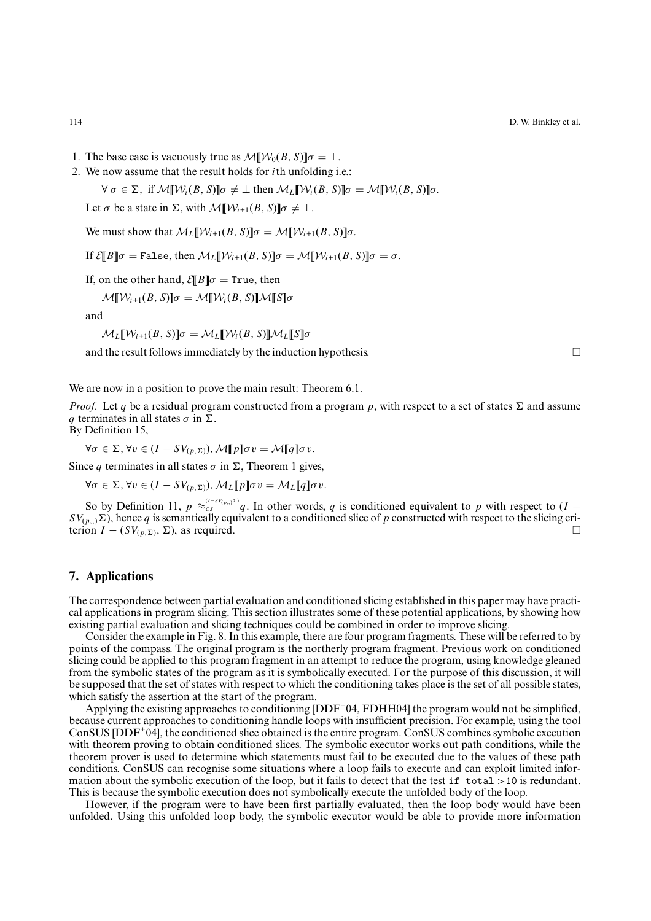- 1. The base case is vacuously true as  $\mathcal{M}[\![\mathcal{W}_0(B, S)]\!] \sigma = \bot$ .
- 2. We now assume that the result holds for *i*th unfolding i.e.:

$$
\forall \sigma \in \Sigma, \text{ if } \mathcal{M}[\![\mathcal{W}_i(B, S)]\!] \sigma \neq \bot \text{ then } \mathcal{M}_L[\![\mathcal{W}_i(B, S)]\!] \sigma = \mathcal{M}[\![\mathcal{W}_i(B, S)]\!] \sigma.
$$

Let  $\sigma$  be a state in  $\Sigma$ , with  $M[\![W_{i+1}(B, S)]\!] \sigma \neq \bot$ .

We must show that  $\mathcal{M}_L[\![\mathcal{W}_{i+1}(B, S)]\!] \sigma = \mathcal{M}[\![\mathcal{W}_{i+1}(B, S)]\!] \sigma$ .

If  $\mathcal{E}[[B]]\sigma = \text{False}$ , then  $\mathcal{M}_L[[\mathcal{W}_{i+1}(B, S)]] \sigma = \mathcal{M}[[\mathcal{W}_{i+1}(B, S)]] \sigma = \sigma$ .

If, on the other hand,  $\mathcal{E}[[B]]\sigma = \text{True}$ , then

 $\mathcal{M}[\![\mathcal{W}_{i+1}(B, S)]\!]$  $\sigma = \mathcal{M}[\![\mathcal{W}_{i}(B, S)]\!]$  $\mathcal{M}[\![S]\!]$  $\sigma$ 

and

 $\mathcal{M}_L[\![\mathcal{W}_{i+1}(B, S)]\!] \sigma = \mathcal{M}_L[\![\mathcal{W}_{i}(B, S)]\!] \mathcal{M}_L[\![S]\!] \sigma$ 

and the result follows immediately by the induction hypothesis.  $\Box$ 

We are now in a position to prove the main result: Theorem 6.1.

*Proof.* Let q be a residual program constructed from a program p, with respect to a set of states  $\Sigma$  and assume *q* terminates in all states *σ* in  $Σ$ .

By Definition 15,

 $\forall \sigma \in \Sigma, \forall v \in (I - SV_{(p,\Sigma)}), \mathcal{M}[\![p]\!] \sigma v = \mathcal{M}[\![q]\!] \sigma v.$ 

Since *q* terminates in all states  $\sigma$  in  $\Sigma$ , Theorem 1 gives,

 $\forall \sigma \in \Sigma, \forall v \in (I - SV_{(p,\Sigma)}), \mathcal{M}_L[\![p]\!] \sigma v = \mathcal{M}_L[\![q]\!] \sigma v.$ 

So by Definition 11,  $p \approx_{cs}^{(I-SV_{(p,j)})^{\Sigma}} q$ . In other words, q is conditioned equivalent to p with respect to (*I* −  $SV(p_0, \Sigma)$ , hence *q* is semantically equivalent to a conditioned slice of *p* constructed with respect to the slicing criterion *I* − (*SV*<sub>(*p*, Σ</sub>), as required.  $□$ 

# **7. Applications**

The correspondence between partial evaluation and conditioned slicing established in this paper may have practical applications in program slicing. This section illustrates some of these potential applications, by showing how existing partial evaluation and slicing techniques could be combined in order to improve slicing.

Consider the example in Fig. 8. In this example, there are four program fragments. These will be referred to by points of the compass. The original program is the northerly program fragment. Previous work on conditioned slicing could be applied to this program fragment in an attempt to reduce the program, using knowledge gleaned from the symbolic states of the program as it is symbolically executed. For the purpose of this discussion, it will be supposed that the set of states with respect to which the conditioning takes place is the set of all possible states, which satisfy the assertion at the start of the program.

Applying the existing approaches to conditioning [DDF<sup>+</sup>04, FDHH04] the program would not be simplified, because current approaches to conditioning handle loops with insufficient precision. For example, using the tool ConSUS [DDF+04], the conditioned slice obtained is the entire program. ConSUS combines symbolic execution with theorem proving to obtain conditioned slices. The symbolic executor works out path conditions, while the theorem prover is used to determine which statements must fail to be executed due to the values of these path conditions. ConSUS can recognise some situations where a loop fails to execute and can exploit limited information about the symbolic execution of the loop, but it fails to detect that the test if total *>*10 is redundant. This is because the symbolic execution does not symbolically execute the unfolded body of the loop.

However, if the program were to have been first partially evaluated, then the loop body would have been unfolded. Using this unfolded loop body, the symbolic executor would be able to provide more information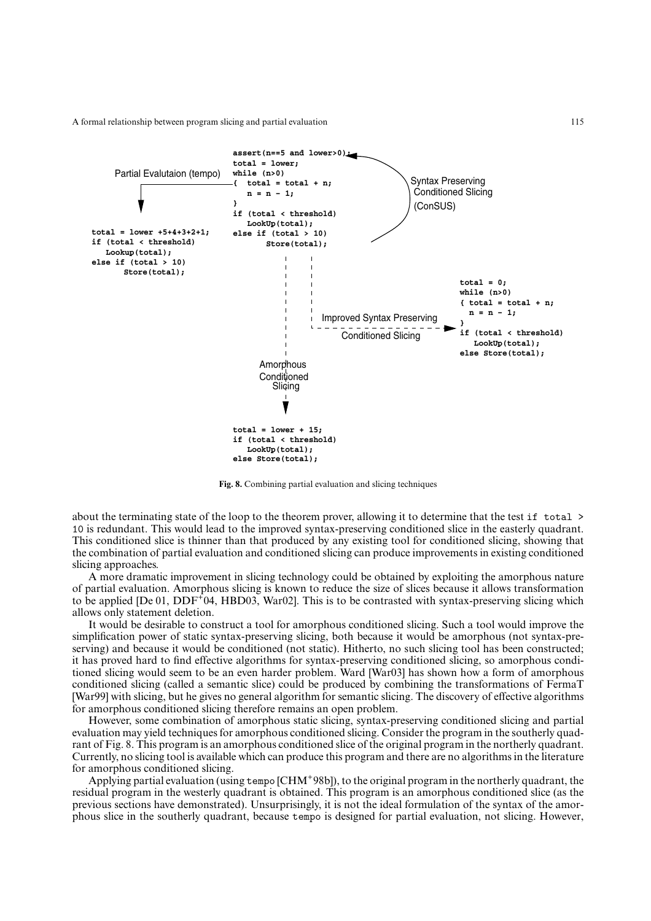

**Fig. 8.** Combining partial evaluation and slicing techniques

about the terminating state of the loop to the theorem prover, allowing it to determine that the test if total > 10 is redundant. This would lead to the improved syntax-preserving conditioned slice in the easterly quadrant. This conditioned slice is thinner than that produced by any existing tool for conditioned slicing, showing that the combination of partial evaluation and conditioned slicing can produce improvements in existing conditioned slicing approaches.

A more dramatic improvement in slicing technology could be obtained by exploiting the amorphous nature of partial evaluation. Amorphous slicing is known to reduce the size of slices because it allows transformation to be applied  $[De 01, DDF<sup>+</sup>04, HBD03, War02]$ . This is to be contrasted with syntax-preserving slicing which allows only statement deletion.

It would be desirable to construct a tool for amorphous conditioned slicing. Such a tool would improve the simplification power of static syntax-preserving slicing, both because it would be amorphous (not syntax-preserving) and because it would be conditioned (not static). Hitherto, no such slicing tool has been constructed; it has proved hard to find effective algorithms for syntax-preserving conditioned slicing, so amorphous conditioned slicing would seem to be an even harder problem. Ward [War03] has shown how a form of amorphous conditioned slicing (called a semantic slice) could be produced by combining the transformations of FermaT [War99] with slicing, but he gives no general algorithm for semantic slicing. The discovery of effective algorithms for amorphous conditioned slicing therefore remains an open problem.

However, some combination of amorphous static slicing, syntax-preserving conditioned slicing and partial evaluation may yield techniques for amorphous conditioned slicing. Consider the program in the southerly quadrant of Fig. 8. This program is an amorphous conditioned slice of the original program in the northerly quadrant. Currently, no slicing tool is available which can produce this program and there are no algorithms in the literature for amorphous conditioned slicing.

Applying partial evaluation (using tempo [CHM+98b]), to the original program in the northerly quadrant, the residual program in the westerly quadrant is obtained. This program is an amorphous conditioned slice (as the previous sections have demonstrated). Unsurprisingly, it is not the ideal formulation of the syntax of the amorphous slice in the southerly quadrant, because tempo is designed for partial evaluation, not slicing. However,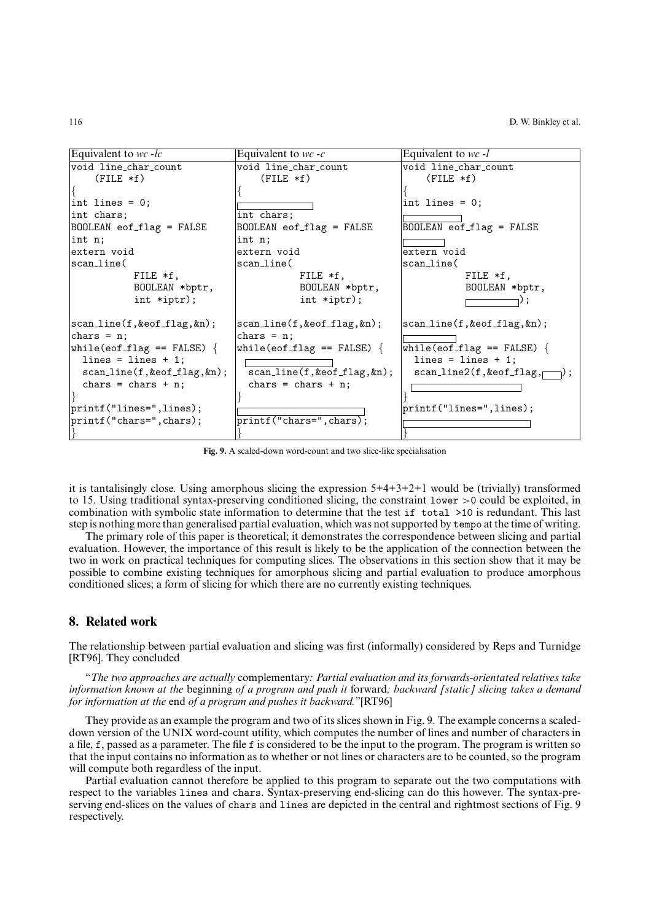| Equivalent to $wc$ -lc           | Equivalent to $wc - c$                                                              | Equivalent to $wc -l$                                              |
|----------------------------------|-------------------------------------------------------------------------------------|--------------------------------------------------------------------|
| void line_char_count             | void line_char_count                                                                | void line_char_count                                               |
| $($ FILE $*$ f $)$               | $($ FILE $*$ f $)$                                                                  | $($ FILE $*$ f $)$                                                 |
|                                  |                                                                                     |                                                                    |
| $int$ lines = 0;                 |                                                                                     | $int$ lines = 0;                                                   |
| int chars;                       | int chars;                                                                          |                                                                    |
| BOOLEAN eof_flag = FALSE         | BOOLEAN eof_flag = FALSE                                                            | $B00LEAN$ eof $flag = FALSE$                                       |
| int n;                           | int n;                                                                              |                                                                    |
| extern void                      | extern void                                                                         | extern void                                                        |
| scan_line(                       | scan_line(                                                                          | scan_line(                                                         |
| FILE $*f$ ,                      | FILE $*f$ ,                                                                         | FILE $*f$ ,                                                        |
| BOOLEAN *bptr,                   | BOOLEAN *bptr,                                                                      | BOOLEAN *bptr,                                                     |
| $int *iptr);$                    | $int *iptr);$                                                                       |                                                                    |
|                                  |                                                                                     |                                                                    |
| scan_line(f, &eof_flag, &n);     | $scan\_line(f, keof\_flag, kn);$                                                    | $scan\_line(f, keof\_flag, kn);$                                   |
| chars $= n$ ;                    | chars $= n$ ;                                                                       |                                                                    |
| while(eof_flag == $FALSE)$ {     | while(eof_flag == $FALSE)$ {                                                        | $\overline{\text{while}(\text{eof}_\text{Iag} == \text{FALSE})}$ { |
| $lines = lines + 1;$             |                                                                                     | $lines = lines + 1;$                                               |
| $scan\_line(f, keof\_flag, kn);$ | $\overline{\text{scan}\_\text{line}(f, \& \text{eof}\_\text{flag}, \& \text{n})}$ ; | $scan\_line2(f, keof\_flag, \rightarrow)$ ;                        |
| chars = $chars + n$ ;            | chars = $chars + n$ ;                                                               |                                                                    |
|                                  |                                                                                     |                                                                    |
| printf("lines=",lines);          |                                                                                     | printf("lines=",lines);                                            |
| printf("chars=",chars);          | printf("chars=",chars);                                                             |                                                                    |
|                                  |                                                                                     |                                                                    |

**Fig. 9.** A scaled-down word-count and two slice-like specialisation

it is tantalisingly close. Using amorphous slicing the expression 5+4+3+2+1 would be (trivially) transformed to 15. Using traditional syntax-preserving conditioned slicing, the constraint lower *>*0 could be exploited, in combination with symbolic state information to determine that the test if total >10 is redundant. This last step is nothing more than generalised partial evaluation, which was not supported by tempo at the time of writing.

The primary role of this paper is theoretical; it demonstrates the correspondence between slicing and partial evaluation. However, the importance of this result is likely to be the application of the connection between the two in work on practical techniques for computing slices. The observations in this section show that it may be possible to combine existing techniques for amorphous slicing and partial evaluation to produce amorphous conditioned slices; a form of slicing for which there are no currently existing techniques.

## **8. Related work**

The relationship between partial evaluation and slicing was first (informally) considered by Reps and Turnidge [RT96]. They concluded

"*The two approaches are actually* complementary*: Partial evaluation and its forwards-orientated relatives take information known at the* beginning *of a program and push it* forward*; backward [static] slicing takes a demand for information at the* end *of a program and pushes it backward.*"[RT96]

They provide as an example the program and two of its slices shown in Fig. 9. The example concerns a scaleddown version of the UNIX word-count utility, which computes the number of lines and number of characters in a file, f, passed as a parameter. The file f is considered to be the input to the program. The program is written so that the input contains no information as to whether or not lines or characters are to be counted, so the program will compute both regardless of the input.

Partial evaluation cannot therefore be applied to this program to separate out the two computations with respect to the variables lines and chars. Syntax-preserving end-slicing can do this however. The syntax-preserving end-slices on the values of chars and lines are depicted in the central and rightmost sections of Fig. 9 respectively.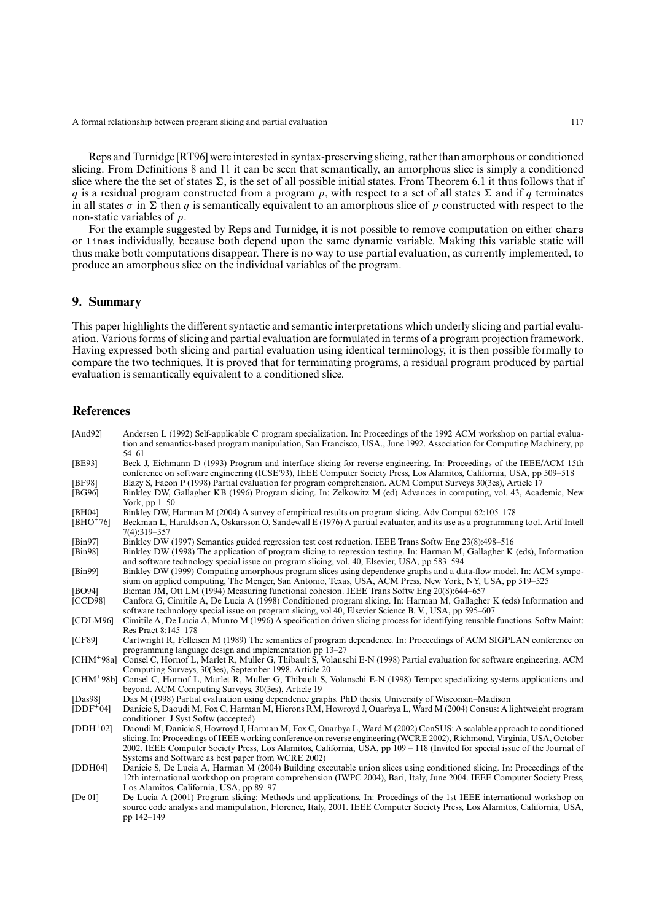A formal relationship between program slicing and partial evaluation 117

Reps and Turnidge [RT96] were interested in syntax-preserving slicing, rather than amorphous or conditioned slicing. From Definitions 8 and 11 it can be seen that semantically, an amorphous slice is simply a conditioned slice where the the set of states  $\Sigma$ , is the set of all possible initial states. From Theorem 6.1 it thus follows that if *q* is a residual program constructed from a program *p*, with respect to a set of all states  $\Sigma$  and if *q* terminates in all states  $\sigma$  in  $\Sigma$  then *q* is semantically equivalent to an amorphous slice of *p* constructed with respect to the non-static variables of *p*.

For the example suggested by Reps and Turnidge, it is not possible to remove computation on either chars or lines individually, because both depend upon the same dynamic variable. Making this variable static will thus make both computations disappear. There is no way to use partial evaluation, as currently implemented, to produce an amorphous slice on the individual variables of the program.

# **9. Summary**

This paper highlights the different syntactic and semantic interpretations which underly slicing and partial evaluation. Various forms of slicing and partial evaluation are formulated in terms of a program projection framework. Having expressed both slicing and partial evaluation using identical terminology, it is then possible formally to compare the two techniques. It is proved that for terminating programs, a residual program produced by partial evaluation is semantically equivalent to a conditioned slice.

# **References**

| [ $And92$ ] | Andersen L (1992) Self-applicable C program specialization. In: Proceedings of the 1992 ACM workshop on partial evalua-<br>tion and semantics-based program manipulation, San Francisco, USA., June 1992. Association for Computing Machinery, pp                                                                                                                                                                                     |
|-------------|---------------------------------------------------------------------------------------------------------------------------------------------------------------------------------------------------------------------------------------------------------------------------------------------------------------------------------------------------------------------------------------------------------------------------------------|
| [BE93]      | $54 - 61$<br>Beck J, Eichmann D (1993) Program and interface slicing for reverse engineering. In: Proceedings of the IEEE/ACM 15th<br>conference on software engineering (ICSE'93), IEEE Computer Society Press, Los Alamitos, California, USA, pp 509–518                                                                                                                                                                            |
| [BF98]      | Blazy S, Facon P (1998) Partial evaluation for program comprehension. ACM Comput Surveys 30(3es), Article 17                                                                                                                                                                                                                                                                                                                          |
| [BG96]      | Binkley DW, Gallagher KB (1996) Program slicing. In: Zelkowitz M (ed) Advances in computing, vol. 43, Academic, New<br>York, $pp 1-50$                                                                                                                                                                                                                                                                                                |
| [BH04]      | Binkley DW, Harman M (2004) A survey of empirical results on program slicing. Adv Comput 62:105–178                                                                                                                                                                                                                                                                                                                                   |
| $[BHO+76]$  | Beckman L, Haraldson A, Oskarsson O, Sandewall E (1976) A partial evaluator, and its use as a programming tool. Artif Intell<br>$7(4):319-357$                                                                                                                                                                                                                                                                                        |
| [Bin97]     | Binkley DW (1997) Semantics guided regression test cost reduction. IEEE Trans Softw Eng 23(8):498–516                                                                                                                                                                                                                                                                                                                                 |
| [Bin98]     | Binkley DW (1998) The application of program slicing to regression testing. In: Harman M, Gallagher K (eds), Information<br>and software technology special issue on program slicing, vol. 40, Elsevier, USA, pp 583–594                                                                                                                                                                                                              |
| [Bin99]     | Binkley DW (1999) Computing amorphous program slices using dependence graphs and a data-flow model. In: ACM sympo-<br>sium on applied computing, The Menger, San Antonio, Texas, USA, ACM Press, New York, NY, USA, pp 519–525                                                                                                                                                                                                        |
| [BO94]      | Bieman JM, Ott LM (1994) Measuring functional cohesion. IEEE Trans Softw Eng 20(8):644–657                                                                                                                                                                                                                                                                                                                                            |
| [CCD98]     | Canfora G, Cimitile A, De Lucia A (1998) Conditioned program slicing. In: Harman M, Gallagher K (eds) Information and<br>software technology special issue on program slicing, vol 40, Elsevier Science B. V., USA, pp 595–607                                                                                                                                                                                                        |
| [CDLM96]    | Cimitile A, De Lucia A, Munro M (1996) A specification driven slicing process for identifying reusable functions. Softw Maint:<br>Res Pract 8:145-178                                                                                                                                                                                                                                                                                 |
| [CF89]      | Cartwright R, Felleisen M (1989) The semantics of program dependence. In: Proceedings of ACM SIGPLAN conference on<br>programming language design and implementation pp 13–27                                                                                                                                                                                                                                                         |
|             | [CHM <sup>+</sup> 98a] Consel C, Hornof L, Marlet R, Muller G, Thibault S, Volanschi E-N (1998) Partial evaluation for software engineering. ACM<br>Computing Surveys, 30(3es), September 1998. Article 20                                                                                                                                                                                                                            |
|             | [CHM <sup>+</sup> 98b] Consel C, Hornof L, Marlet R, Muller G, Thibault S, Volanschi E-N (1998) Tempo: specializing systems applications and<br>beyond. ACM Computing Surveys, 30(3es), Article 19                                                                                                                                                                                                                                    |
| [ $Das98$ ] | Das M (1998) Partial evaluation using dependence graphs. PhD thesis, University of Wisconsin-Madison                                                                                                                                                                                                                                                                                                                                  |
| $[DDF^+04]$ | Danicic S, Daoudi M, Fox C, Harman M, Hierons RM, Howroyd J, Ouarbya L, Ward M (2004) Consus: A lightweight program<br>conditioner. J Syst Softw (accepted)                                                                                                                                                                                                                                                                           |
| $[DDH^+02]$ | Daoudi M, Danicic S, Howroyd J, Harman M, Fox C, Ouarbya L, Ward M (2002) ConSUS: A scalable approach to conditioned<br>slicing. In: Proceedings of IEEE working conference on reverse engineering (WCRE 2002), Richmond, Virginia, USA, October<br>2002. IEEE Computer Society Press, Los Alamitos, California, USA, pp 109 – 118 (Invited for special issue of the Journal of<br>Systems and Software as best paper from WCRE 2002) |
| [DDH04]     | Danicic S, De Lucia A, Harman M (2004) Building executable union slices using conditioned slicing. In: Proceedings of the                                                                                                                                                                                                                                                                                                             |
|             | 12th international workshop on program comprehension (IWPC 2004), Bari, Italy, June 2004. IEEE Computer Society Press,                                                                                                                                                                                                                                                                                                                |
|             | Los Alamitos, California, USA, pp 89–97                                                                                                                                                                                                                                                                                                                                                                                               |
| [De 01]     | De Lucia A (2001) Program slicing: Methods and applications. In: Procedings of the 1st IEEE international workshop on<br>source code analysis and manipulation, Florence, Italy, 2001. IEEE Computer Society Press, Los Alamitos, California, USA,<br>pp 142-149                                                                                                                                                                      |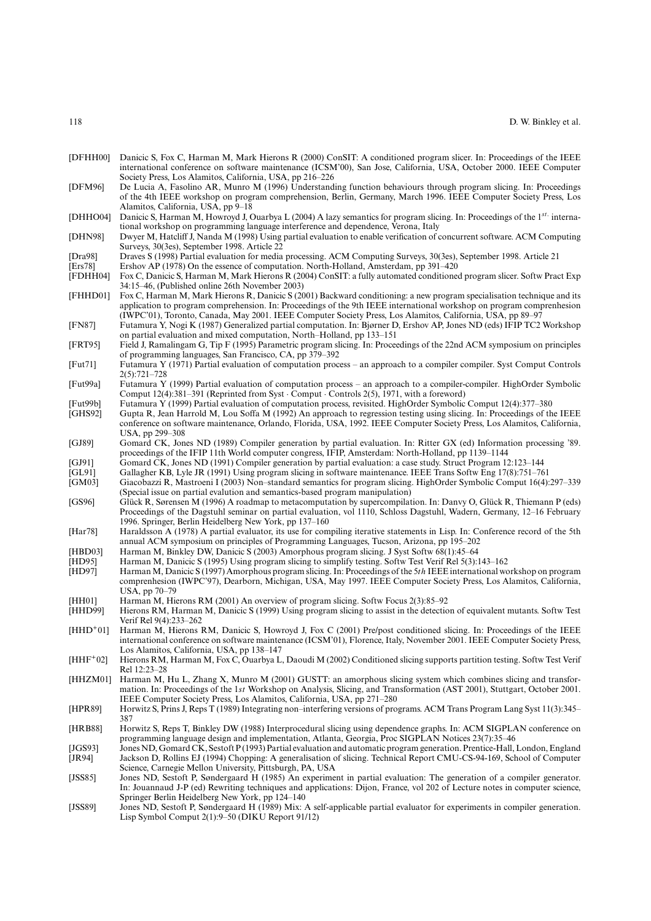- [DFHH00] Danicic S, Fox C, Harman M, Mark Hierons R (2000) ConSIT: A conditioned program slicer. In: Proceedings of the IEEE international conference on software maintenance (ICSM'00), San Jose, California, USA, October 2000. IEEE Computer Society Press, Los Alamitos, California, USA, pp 216–226
- [DFM96] De Lucia A, Fasolino AR, Munro M (1996) Understanding function behaviours through program slicing. In: Proceedings of the 4th IEEE workshop on program comprehension, Berlin, Germany, March 1996. IEEE Computer Society Press, Los Alamitos, California, USA, pp 9–18
- [DHHO04] Danicic S, Harman M, Howroyd J, Ouarbya L (2004) A lazy semantics for program slicing. In: Proceedings of the 1*st.* international workshop on programming language interference and dependence, Verona, Italy
- [DHN98] Dwyer M, Hatcliff J, Nanda M (1998) Using partial evaluation to enable verification of concurrent software. ACM Computing Surveys, 30(3es), September 1998. Article 22
- [Dra98] Draves S (1998) Partial evaluation for media processing. ACM Computing Surveys, 30(3es), September 1998. Article 21
- [Ers78] Ershov AP (1978) On the essence of computation. North-Holland, Amsterdam, pp 391–420
- Fox C, Danicic S, Harman M, Mark Hierons R (2004) ConSIT: a fully automated conditioned program slicer. Softw Pract Exp 34:15–46, (Published online 26th November 2003)
- [FHHD01] Fox C, Harman M, Mark Hierons R, Danicic S (2001) Backward conditioning: a new program specialisation technique and its application to program comprehension. In: Proceedings of the 9th IEEE international workshop on program comprenhesion (IWPC'01), Toronto, Canada, May 2001. IEEE Computer Society Press, Los Alamitos, California, USA, pp 89–97
- [FN87] Futamura Y, Nogi K (1987) Generalized partial computation. In: Bjørner D, Ershov AP, Jones ND (eds) IFIP TC2 Workshop on partial evaluation and mixed computation, North–Holland, pp 133–151
- [FRT95] Field J, Ramalingam G, Tip F (1995) Parametric program slicing. In: Proceedings of the 22nd ACM symposium on principles of programming languages, San Francisco, CA, pp 379–392
- [Fut71] Futamura Y (1971) Partial evaluation of computation process an approach to a compiler compiler. Syst Comput Controls 2(5):721–728
- [Fut99a] Futamura Y (1999) Partial evaluation of computation process an approach to a compiler-compiler. HighOrder Symbolic Comput 12(4):381–391 (Reprinted from Syst · Comput · Controls 2(5), 1971, with a foreword)
- [Fut99b] Futamura Y (1999) Partial evaluation of computation process, revisited. HighOrder Symbolic Comput 12(4):377–380
- [GHS92] Gupta R, Jean Harrold M, Lou Soffa M (1992) An approach to regression testing using slicing. In: Proceedings of the IEEE conference on software maintenance, Orlando, Florida, USA, 1992. IEEE Computer Society Press, Los Alamitos, California, USA, pp 299–308
- [GJ89] Gomard CK, Jones ND (1989) Compiler generation by partial evaluation. In: Ritter GX (ed) Information processing '89. proceedings of the IFIP 11th World computer congress, IFIP, Amsterdam: North-Holland, pp 1139–1144
- [GJ91] Gomard CK, Jones ND (1991) Compiler generation by partial evaluation: a case study. Struct Program 12:123–144<br>[GL91] Gallagher KB, Lyle JR (1991) Using program slicing in software maintenance. IEEE Trans Softw Eng 1
- [GL91] Gallagher KB, Lyle JR (1991) Using program slicing in software maintenance. IEEE Trans Softw Eng 17(8):751–761
- [GM03] Giacobazzi R, Mastroeni I (2003) Non–standard semantics for program slicing. HighOrder Symbolic Comput 16(4):297–339 (Special issue on partial evalution and semantics-based program manipulation)
- [GS96] Glück R, Sørensen M (1996) A roadmap to metacomputation by supercompilation. In: Danvy O, Glück R, Thiemann P (eds) Proceedings of the Dagstuhl seminar on partial evaluation, vol 1110, Schloss Dagstuhl, Wadern, Germany, 12–16 February 1996. Springer, Berlin Heidelberg New York, pp 137–160
- [Har78] Haraldsson A (1978) A partial evaluator, its use for compiling iterative statements in Lisp. In: Conference record of the 5th annual ACM symposium on principles of Programming Languages, Tucson, Arizona, pp 195–202
- 
- [HBD03] Harman M, Binkley DW, Danicic S (2003) Amorphous program slicing. J Syst Softw 68(1):45–64
- [HD95] Harman M, Danicic S (1995) Using program slicing to simplify testing. Softw Test Verif Rel 5(3):143–162<br>[HD97] Harman M, Danicic S (1997) Amorphous program slicing. In: Proceedings of the 5th IEEE international wo Harman M, Danicic S (1997) Amorphous program slicing. In: Proceedings of the 5*th* IEEE international workshop on program comprenhesion (IWPC'97), Dearborn, Michigan, USA, May 1997. IEEE Computer Society Press, Los Alamitos, California, USA, pp 70–79
- [HH01] Harman M, Hierons RM (2001) An overview of program slicing. Softw Focus 2(3):85–92<br>[HHD99] Hierons RM, Harman M, Danicic S (1999) Using program slicing to assist in the detection
- Hierons RM, Harman M, Danicic S (1999) Using program slicing to assist in the detection of equivalent mutants. Softw Test Verif Rel 9(4):233–262
- [HHD<sup>+</sup>01] Harman M, Hierons RM, Danicic S, Howroyd J, Fox C (2001) Pre/post conditioned slicing. In: Proceedings of the IEEE international conference on software maintenance (ICSM'01), Florence, Italy, November 2001. IEEE Computer Society Press, Los Alamitos, California, USA, pp 138–147
- [HHF+02] Hierons RM, Harman M, Fox C, Ouarbya L, Daoudi M (2002) Conditioned slicing supports partition testing. Softw Test Verif Rel 12:23–28
- [HHZM01] Harman M, Hu L, Zhang X, Munro M (2001) GUSTT: an amorphous slicing system which combines slicing and transformation. In: Proceedings of the 1*st* Workshop on Analysis, Slicing, and Transformation (AST 2001), Stuttgart, October 2001. IEEE Computer Society Press, Los Alamitos, California, USA, pp 271–280
- [HPR89] Horwitz S, Prins J, Reps T (1989) Integrating non–interfering versions of programs. ACM Trans Program Lang Syst 11(3):345– 387
- [HRB88] Horwitz S, Reps T, Binkley DW (1988) Interprocedural slicing using dependence graphs. In: ACM SIGPLAN conference on programming language design and implementation, Atlanta, Georgia, Proc SIGPLAN Notices 23(7):35–46
- [JGS93] Jones ND, Gomard CK, Sestoft P (1993) Partial evaluation and automatic program generation. Prentice-Hall, London, England Jackson D, Rollins EJ (1994) Chopping: A generalisation of slicing. Technical Report CMU-CS-94-169, School of Computer Science, Carnegie Mellon University, Pittsburgh, PA, USA
- [JSS85] Jones ND, Sestoft P, Søndergaard H (1985) An experiment in partial evaluation: The generation of a compiler generator. In: Jouannaud J-P (ed) Rewriting techniques and applications: Dijon, France, vol 202 of Lecture notes in computer science, Springer Berlin Heidelberg New York, pp 124–140
- [JSS89] Jones ND, Sestoft P, Søndergaard H (1989) Mix: A self-applicable partial evaluator for experiments in compiler generation. Lisp Symbol Comput 2(1):9–50 (DIKU Report 91/12)